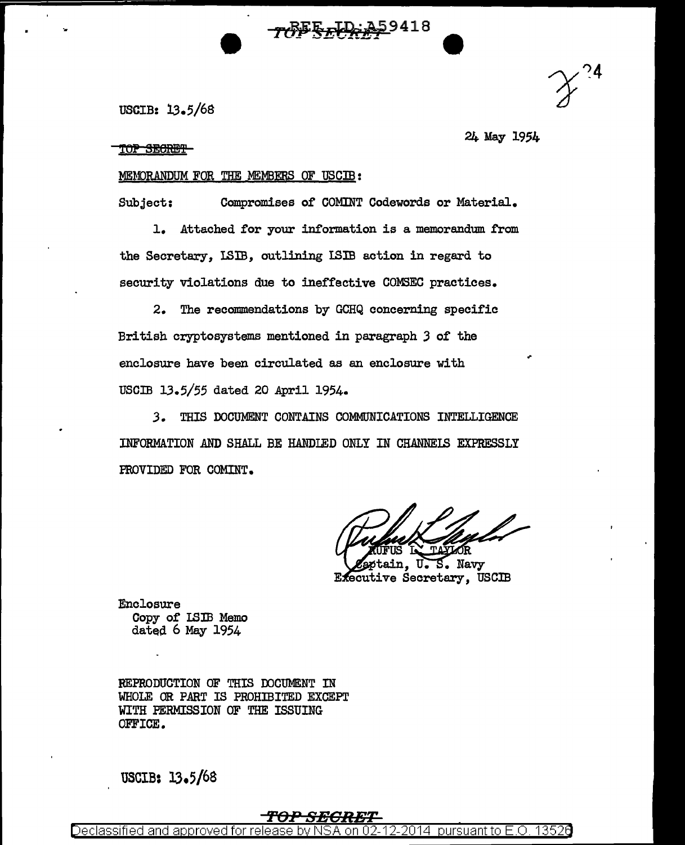USCIB: l3.5/6S

TOP SECRET

24 May 1954

## MEMORANDUM FOR THE MEMBERS OF USCIB:

Subject: Compromises of COMINT Codewords or Material.

TOPSED A59418

l. Attached for your information is a memorandmn. from the Secretary, I.SIB, outlining ISIB action in regard to security violations due to ineffective COMSEC practices.

2. The recommendations by GCHQ concerning specific British cryptosystems mentioned in paragraph *3* of the enclosure have been circulated as an enclosure with USCIB 13.5/55 dated 20 April 1954.

*3.* THIS DOCUMENT CONTAINS COMMUNICATIONS INTELLIGENCE INFORMATION AND SHALL BE HANDLED ONLY IN CHANNEIS EXPRESSLY FROVIDED FOR COMINT.

tain. U.S. Navy Executive Secretary, USCIB

Enclosure Copy of I.SIB Memo dated  $6$  May 1954

REPRODUCTION OF THIS DOCUMENT IN WHOLE OR PART IS PROHIBITED EXCEPT WITH PERMISSION OF THE ISSUING OFFICE.

USCIB: 13.5/68

## **'FOPSBGRBT**

Declassified and approved for release by NSA on 02-12-2014 pursuant to E.O. 1352e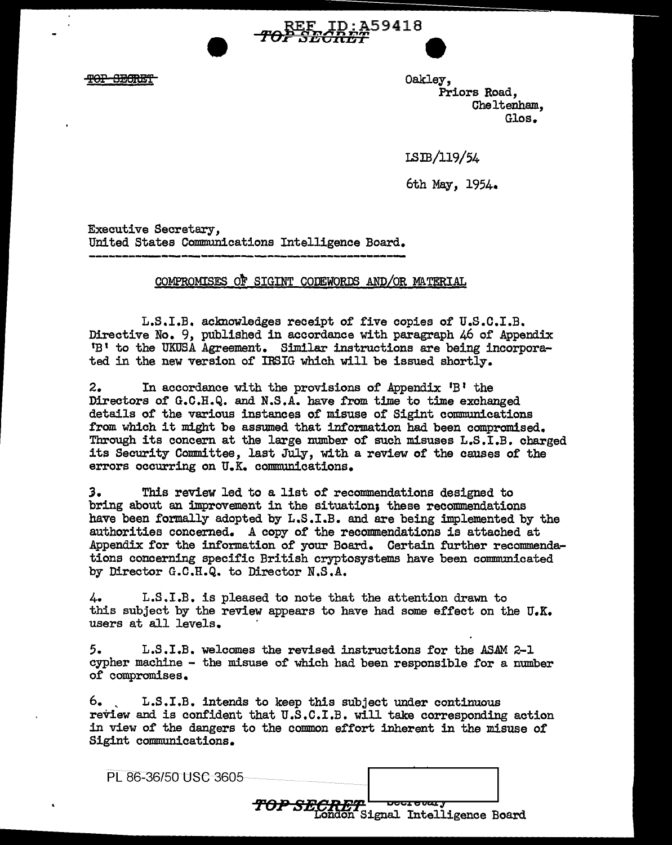<del>POP SECRET</del>

Oakley, Priors Road, Cheltenham., Glos.

LSID/119/54

6th May, 1954.

Executive Secretary, United States Communications Intelligence Board.

## COMPROMISES OF SIGINT CODEWORDS AND/OR MATERIAL

**FEE ID:A59418**<br>TOP SECRET

L.S.I.B. acknowledges receipt of five copies of U.S.C.I.B. Directive No. 9, published in accordance with paragraph 46 of Appendix 1 B' to the UKUSA Agreement. Similar instructions are being incorporated in the new version of IRSIG which will be issued shortly.

2. In accordance with the provisions of Appendix  ${}^{1}B$ <sup>1</sup> the Directors of G.C.H.Q. and N.S.A. have from time to time exchanged details of the various instances of misuse of Sigint communications from which it might be assumed that information had been compromised. Through its concern at the large number of such misuses L.S.I.B. charged its Security Committee, last July, with a review of the causes of the errors occurring on U.K. communications.

*3.* This review led to a list of recommendations designed to bring about an improvement in the situation; these recommendations have been formally adopted by L.S.I.B. and are being implemented by the authorities concerned. A copy of the recommendations is attached at Appendix for the information of your Board. Certain further recommendations concerning specific British cryptosystems have been communicated by Director G.C.H.Q. to Director N.S.A.

4. L.S.I.B. is pleased to note that the attention drawn to this subject by the review appears to have had some effect on the  $U_{\bullet}K_{\bullet}$ users at all levels.

*5.* L.S.I.B. welcomes the revised instructions for the ASAM 2-1 cypher machine - the misuse of which had been responsible for a number of compromises.

6. , L.S.I.B. intends to keep this subject under continuous review and is confident that  $U.S.C.I.B.$  will take corresponding action in view of the dangers to the common effort inherent in the misuse of Sigint communications.

| PI 86-36/50 USC 3605 |                                                      |  |
|----------------------|------------------------------------------------------|--|
| man ang pam          | <b>Decretary</b><br>London Signal Intelligence Board |  |